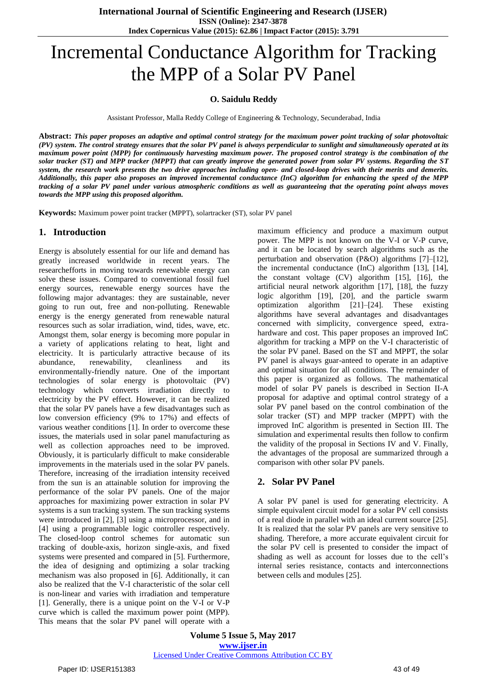# Incremental Conductance Algorithm for Tracking the MPP of a Solar PV Panel

## **O. Saidulu Reddy**

Assistant Professor, Malla Reddy College of Engineering & Technology, Secunderabad, India

**Abstract:** *This paper proposes an adaptive and optimal control strategy for the maximum power point tracking of solar photovoltaic (PV) system. The control strategy ensures that the solar PV panel is always perpendicular to sunlight and simultaneously operated at its maximum power point (MPP) for continuously harvesting maximum power. The proposed control strategy is the combination of the solar tracker (ST) and MPP tracker (MPPT) that can greatly improve the generated power from solar PV systems. Regarding the ST system, the research work presents the two drive approaches including open- and closed-loop drives with their merits and demerits. Additionally, this paper also proposes an improved incremental conductance (InC) algorithm for enhancing the speed of the MPP tracking of a solar PV panel under various atmospheric conditions as well as guaranteeing that the operating point always moves towards the MPP using this proposed algorithm.*

**Keywords:** Maximum power point tracker (MPPT), solartracker (ST), solar PV panel

## **1. Introduction**

Energy is absolutely essential for our life and demand has greatly increased worldwide in recent years. The researchefforts in moving towards renewable energy can solve these issues. Compared to conventional fossil fuel energy sources, renewable energy sources have the following major advantages: they are sustainable, never going to run out, free and non-polluting. Renewable energy is the energy generated from renewable natural resources such as solar irradiation, wind, tides, wave, etc. Amongst them, solar energy is becoming more popular in a variety of applications relating to heat, light and electricity. It is particularly attractive because of its abundance, renewability, cleanliness and its environmentally-friendly nature. One of the important technologies of solar energy is photovoltaic (PV) technology which converts irradiation directly to electricity by the PV effect. However, it can be realized that the solar PV panels have a few disadvantages such as low conversion efficiency (9% to 17%) and effects of various weather conditions [1]. In order to overcome these issues, the materials used in solar panel manufacturing as well as collection approaches need to be improved. Obviously, it is particularly difficult to make considerable improvements in the materials used in the solar PV panels. Therefore, increasing of the irradiation intensity received from the sun is an attainable solution for improving the performance of the solar PV panels. One of the major approaches for maximizing power extraction in solar PV systems is a sun tracking system. The sun tracking systems were introduced in [2], [3] using a microprocessor, and in [4] using a programmable logic controller respectively. The closed-loop control schemes for automatic sun tracking of double-axis, horizon single-axis, and fixed systems were presented and compared in [5]. Furthermore, the idea of designing and optimizing a solar tracking mechanism was also proposed in [6]. Additionally, it can also be realized that the V-I characteristic of the solar cell is non-linear and varies with irradiation and temperature [1]. Generally, there is a unique point on the V-I or V-P curve which is called the maximum power point (MPP). This means that the solar PV panel will operate with a

maximum efficiency and produce a maximum output power. The MPP is not known on the V-I or V-P curve, and it can be located by search algorithms such as the perturbation and observation (P&O) algorithms [7]–[12], the incremental conductance (InC) algorithm [13], [14], the constant voltage (CV) algorithm [15], [16], the artificial neural network algorithm [17], [18], the fuzzy logic algorithm [19], [20], and the particle swarm optimization algorithm [21]–[24]. These existing algorithms have several advantages and disadvantages concerned with simplicity, convergence speed, extrahardware and cost. This paper proposes an improved InC algorithm for tracking a MPP on the V-I characteristic of the solar PV panel. Based on the ST and MPPT, the solar PV panel is always guar-anteed to operate in an adaptive and optimal situation for all conditions. The remainder of this paper is organized as follows. The mathematical model of solar PV panels is described in Section II-A proposal for adaptive and optimal control strategy of a solar PV panel based on the control combination of the solar tracker (ST) and MPP tracker (MPPT) with the improved InC algorithm is presented in Section III. The simulation and experimental results then follow to confirm the validity of the proposal in Sections IV and V. Finally, the advantages of the proposal are summarized through a comparison with other solar PV panels.

## **2. Solar PV Panel**

A solar PV panel is used for generating electricity. A simple equivalent circuit model for a solar PV cell consists of a real diode in parallel with an ideal current source [25]. It is realized that the solar PV panels are very sensitive to shading. Therefore, a more accurate equivalent circuit for the solar PV cell is presented to consider the impact of shading as well as account for losses due to the cell's internal series resistance, contacts and interconnections between cells and modules [25].

**Volume 5 Issue 5, May 2017 www.ijser.in** Licensed Under Creative Commons Attribution CC BY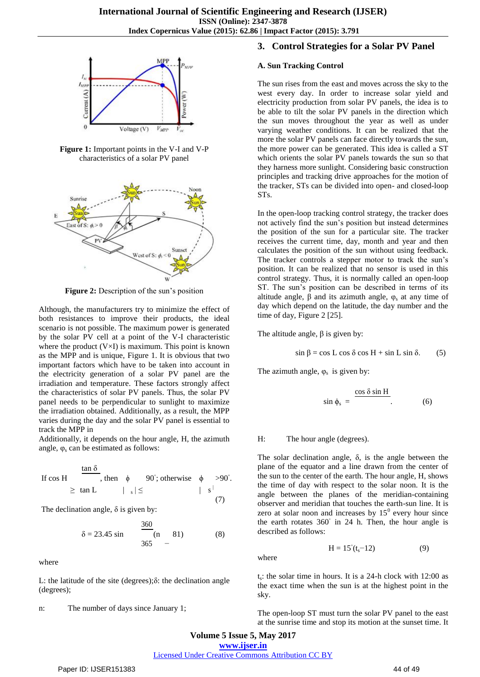

**Figure 1:** Important points in the V-I and V-P characteristics of a solar PV panel



**Figure 2:** Description of the sun's position

Although, the manufacturers try to minimize the effect of both resistances to improve their products, the ideal scenario is not possible. The maximum power is generated by the solar PV cell at a point of the V-I characteristic where the product  $(V\times I)$  is maximum. This point is known as the MPP and is unique, Figure 1. It is obvious that two important factors which have to be taken into account in the electricity generation of a solar PV panel are the irradiation and temperature. These factors strongly affect the characteristics of solar PV panels. Thus, the solar PV panel needs to be perpendicular to sunlight to maximize the irradiation obtained. Additionally, as a result, the MPP varies during the day and the solar PV panel is essential to track the MPP in

Additionally, it depends on the hour angle, H, the azimuth angle,  $\varphi_s$  can be estimated as follows:

If 
$$
\cos H
$$
  $\frac{\tan \delta}{\epsilon}$ , then  $\phi$  90°; otherwise  $\phi > 90°$ .  
\n $\ge \tan L$   $|\ \ s| \le$   $|\ \ s^{1}$  (7)

The declination angle,  $\delta$  is given by:

$$
\delta = 23.45 \sin \frac{360}{365} \text{ (n \quad 81)} \tag{8}
$$

where

L: the latitude of the site (degrees);δ: the declination angle (degrees);

n: The number of days since January 1;

## **3. Control Strategies for a Solar PV Panel**

#### **A. Sun Tracking Control**

The sun rises from the east and moves across the sky to the west every day. In order to increase solar yield and electricity production from solar PV panels, the idea is to be able to tilt the solar PV panels in the direction which the sun moves throughout the year as well as under varying weather conditions. It can be realized that the more the solar PV panels can face directly towards the sun, the more power can be generated. This idea is called a ST which orients the solar PV panels towards the sun so that they harness more sunlight. Considering basic construction principles and tracking drive approaches for the motion of the tracker, STs can be divided into open- and closed-loop STs.

In the open-loop tracking control strategy, the tracker does not actively find the sun's position but instead determines the position of the sun for a particular site. The tracker receives the current time, day, month and year and then calculates the position of the sun without using feedback. The tracker controls a stepper motor to track the sun's position. It can be realized that no sensor is used in this control strategy. Thus, it is normally called an open-loop ST. The sun's position can be described in terms of its altitude angle,  $\beta$  and its azimuth angle,  $\varphi_s$  at any time of day which depend on the latitude, the day number and the time of day, Figure 2 [25].

The altitude angle,  $\beta$  is given by:

$$
\sin \beta = \cos L \cos \delta \cos H + \sin L \sin \delta. \tag{5}
$$

The azimuth angle,  $\varphi_s$  is given by:

$$
\sin \phi_s = \frac{\cos \delta \sin H}{\cdot}.
$$
 (6)

#### H: The hour angle (degrees).

The solar declination angle, δ, is the angle between the plane of the equator and a line drawn from the center of the sun to the center of the earth. The hour angle, H, shows the time of day with respect to the solar noon. It is the angle between the planes of the meridian-containing observer and meridian that touches the earth-sun line. It is zero at solar noon and increases by  $15^{\circ}$  every hour since the earth rotates 360° in 24 h. Then, the hour angle is described as follows:

$$
H = 15^{\circ}(t_s - 12) \tag{9}
$$

where

 $t_s$ : the solar time in hours. It is a 24-h clock with 12:00 as the exact time when the sun is at the highest point in the sky.

The open-loop ST must turn the solar PV panel to the east at the sunrise time and stop its motion at the sunset time. It

**Volume 5 Issue 5, May 2017**

**www.ijser.in**

Licensed Under Creative Commons Attribution CC BY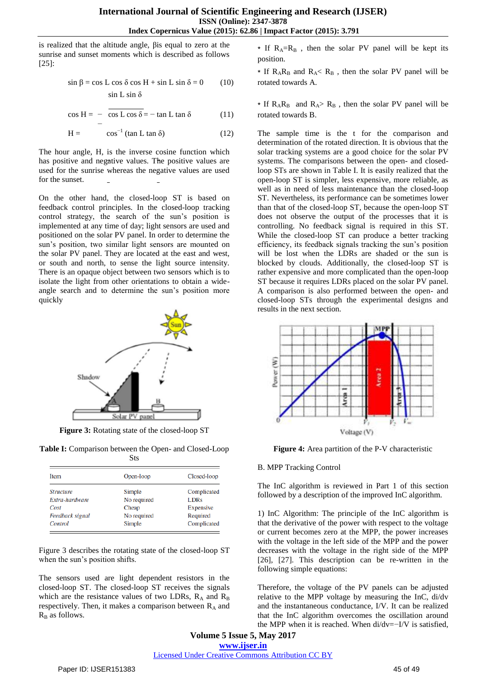is realized that the altitude angle, βis equal to zero at the sunrise and sunset moments which is described as follows  $[25]$ :

$$
\sin \beta = \cos L \cos \delta \cos H + \sin L \sin \delta = 0 \qquad (10)
$$
  

$$
\sin L \sin \delta
$$

$$
\cos H = -\frac{\cos L \cos \delta}{-} - \tan L \tan \delta \tag{11}
$$

$$
H = \cos^{-1} (\tan L \tan \delta) \tag{12}
$$

The hour angle, H, is the inverse cosine function which has positive and negative values. The positive values are used for the sunrise whereas the negative values are used for the sunset.

On the other hand, the closed-loop ST is based on feedback control principles. In the closed-loop tracking control strategy, the search of the sun's position is implemented at any time of day; light sensors are used and positioned on the solar PV panel. In order to determine the sun's position, two similar light sensors are mounted on the solar PV panel. They are located at the east and west, or south and north, to sense the light source intensity. There is an opaque object between two sensors which is to isolate the light from other orientations to obtain a wideangle search and to determine the sun's position more quickly



**Figure 3:** Rotating state of the closed-loop ST

**Table I:** Comparison between the Open- and Closed-Loop Sts

| <b>Item</b>      | Open-loop   | Closed-loop |  |  |
|------------------|-------------|-------------|--|--|
| <b>Structure</b> | Simple      | Complicated |  |  |
| Extra-hardware   | No required | <b>LDRs</b> |  |  |
| Cost             | Cheap       | Expensive   |  |  |
| Feedback signal  | No required | Required    |  |  |
| Control          | Simple      | Complicated |  |  |

Figure 3 describes the rotating state of the closed-loop ST when the sun's position shifts.

The sensors used are light dependent resistors in the closed-loop ST. The closed-loop ST receives the signals which are the resistance values of two LDRs,  $R_A$  and  $R_B$ respectively. Then, it makes a comparison between  $R_A$  and  $R_B$  as follows.

 $*$  If  $R_A=R_B$ , then the solar PV panel will be kept its position.

 $*$  If  $R_A R_B$  and  $R_A < R_B$ , then the solar PV panel will be rotated towards A.

∗ If  $R_A R_B$  and  $R_A > R_B$ , then the solar PV panel will be rotated towards B.

The sample time is the t for the comparison and determination of the rotated direction. It is obvious that the solar tracking systems are a good choice for the solar PV systems. The comparisons between the open- and closedloop STs are shown in Table I. It is easily realized that the open-loop ST is simpler, less expensive, more reliable, as well as in need of less maintenance than the closed-loop ST. Nevertheless, its performance can be sometimes lower than that of the closed-loop ST, because the open-loop ST does not observe the output of the processes that it is controlling. No feedback signal is required in this ST. While the closed-loop ST can produce a better tracking efficiency, its feedback signals tracking the sun's position will be lost when the LDRs are shaded or the sun is blocked by clouds. Additionally, the closed-loop ST is rather expensive and more complicated than the open-loop ST because it requires LDRs placed on the solar PV panel. A comparison is also performed between the open- and closed-loop STs through the experimental designs and results in the next section.



**Figure 4:** Area partition of the P-V characteristic

#### B. MPP Tracking Control

The InC algorithm is reviewed in Part 1 of this section followed by a description of the improved InC algorithm.

1) InC Algorithm: The principle of the InC algorithm is that the derivative of the power with respect to the voltage or current becomes zero at the MPP, the power increases with the voltage in the left side of the MPP and the power decreases with the voltage in the right side of the MPP [26], [27]. This description can be re-written in the following simple equations:

Therefore, the voltage of the PV panels can be adjusted relative to the MPP voltage by measuring the InC, di/dv and the instantaneous conductance, I/V. It can be realized that the InC algorithm overcomes the oscillation around the MPP when it is reached. When di/dv=−I/V is satisfied,

**Volume 5 Issue 5, May 2017 www.ijser.in** Licensed Under Creative Commons Attribution CC BY

Paper ID: IJSER151383 45 of 49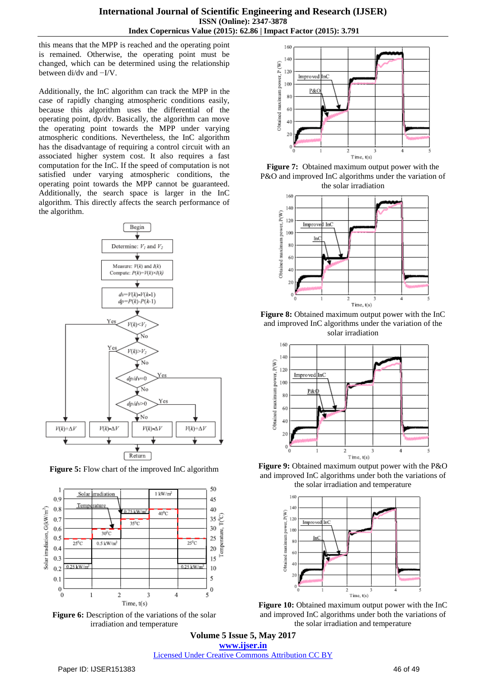this means that the MPP is reached and the operating point is remained. Otherwise, the operating point must be changed, which can be determined using the relationship between di/dv and −I/V.

Additionally, the InC algorithm can track the MPP in the case of rapidly changing atmospheric conditions easily, because this algorithm uses the differential of the operating point, dp/dv. Basically, the algorithm can move the operating point towards the MPP under varying atmospheric conditions. Nevertheless, the InC algorithm has the disadvantage of requiring a control circuit with an associated higher system cost. It also requires a fast computation for the InC. If the speed of computation is not satisfied under varying atmospheric conditions, the operating point towards the MPP cannot be guaranteed. Additionally, the search space is larger in the InC algorithm. This directly affects the search performance of the algorithm.



**Figure 5:** Flow chart of the improved InC algorithm



Figure 6: Description of the variations of the solar irradiation and temperature



**Figure 7:** Obtained maximum output power with the P&O and improved InC algorithms under the variation of the solar irradiation



Figure 8: Obtained maximum output power with the InC and improved InC algorithms under the variation of the solar irradiation



**Figure 9:** Obtained maximum output power with the P&O and improved InC algorithms under both the variations of the solar irradiation and temperature



**Figure 10:** Obtained maximum output power with the InC and improved InC algorithms under both the variations of the solar irradiation and temperature

**Volume 5 Issue 5, May 2017 www.ijser.in** Licensed Under Creative Commons Attribution CC BY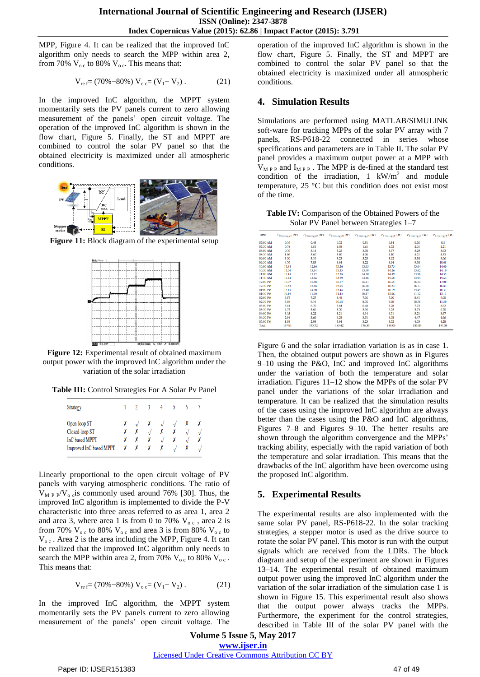MPP, Figure 4. It can be realized that the improved InC algorithm only needs to search the MPP within area 2, from 70%  $V_{\text{o c}}$  to 80%  $V_{\text{o c}}$ . This means that:

$$
V_{ref} = (70\% - 80\%) V_{o} = (V_1 - V_2).
$$
 (21)

In the improved InC algorithm, the MPPT system momentarily sets the PV panels current to zero allowing measurement of the panels' open circuit voltage. The operation of the improved InC algorithm is shown in the flow chart, Figure 5. Finally, the ST and MPPT are combined to control the solar PV panel so that the obtained electricity is maximized under all atmospheric conditions.



**Figure 11:** Block diagram of the experimental setup



**Figure 12:** Experimental result of obtained maximum output power with the improved InC algorithm under the variation of the solar irradiation

**Table III:** Control Strategies For A Solar Pv Panel

| <b>Strategy</b>         |   |   |              |  | h |  |
|-------------------------|---|---|--------------|--|---|--|
| Open-loop ST            |   |   | Х            |  |   |  |
| Closed-loop ST          |   |   | $\mathbf{v}$ |  |   |  |
| InC based MPPT          |   |   | Х            |  |   |  |
| Improved InC based MPPT | X | Х |              |  |   |  |

Linearly proportional to the open circuit voltage of PV panels with varying atmospheric conditions. The ratio of  $V_{\text{M P P}}/V_{\text{o c}}$  is commonly used around 76% [30]. Thus, the improved InC algorithm is implemented to divide the P-V characteristic into three areas referred to as area 1, area 2 and area 3, where area 1 is from 0 to 70%  $V_{\text{o c}}$ , area 2 is from 70%  $V_{\text{o c}}$  to 80%  $V_{\text{o c}}$  and area 3 is from 80%  $V_{\text{o c}}$  to  $V_{\text{o c}}$ . Area 2 is the area including the MPP, Figure 4. It can be realized that the improved InC algorithm only needs to search the MPP within area 2, from 70%  $V_{\text{o c}}$  to 80%  $V_{\text{o c}}$ . This means that:

$$
V_{ref} = (70\% - 80\%) V_{o} = (V_1 - V_2).
$$
 (21)

In the improved InC algorithm, the MPPT system momentarily sets the PV panels current to zero allowing measurement of the panels' open circuit voltage. The

operation of the improved InC algorithm is shown in the flow chart, Figure 5. Finally, the ST and MPPT are combined to control the solar PV panel so that the obtained electricity is maximized under all atmospheric conditions.

## **4. Simulation Results**

Simulations are performed using MATLAB/SIMULINK soft-ware for tracking MPPs of the solar PV array with 7 panels, RS-P618-22 connected in series whose specifications and parameters are in Table II. The solar PV panel provides a maximum output power at a MPP with  $V_{\text{M PP}}$  and  $I_{\text{M PP}}$ . The MPP is de-fined at the standard test condition of the irradiation,  $1 \text{ kW/m}^2$  and module temperature, 25 °C but this condition does not exist most of the time.

**Table IV:** Comparison of the Obtained Powers of the Solar PV Panel between Strategies 1–7

| Time     | $P_{\text{Strategy 1}}$ (W) | $P_{\text{Strategy 2}}$ (W) | $P_{\text{Strategy 3}}$ (W) | $P_{\text{Strategy4}}$ (W) | $P_{\text{Strategy}}(W)$ | $P_{\text{Strategy6}}$ (W) | $P_{\text{Strategy}}$ (W) |
|----------|-----------------------------|-----------------------------|-----------------------------|----------------------------|--------------------------|----------------------------|---------------------------|
| 07:00 AM | 0.16                        | 0.48                        | 0.72                        | 0.51                       | 0.54                     | 0.76                       | 0.8                       |
| 07:30 AM | 0.74                        | 1.51                        | 1.98                        | 1.61                       | 1.72                     | 2.01                       | 2.21                      |
| 08:00 AM | 0.76                        | 3.14                        | 3.25                        | 3.50                       | 3.57                     | 3.29                       | 3.63                      |
| 08:30 AM | 1.06                        | 3.60                        | 3.80                        | 4.06                       | 4.10                     | 4.21                       | 4.33                      |
| 09:00 AM | 3.30                        | 5.19                        | 5.23                        | 5.23                       | 5.92                     | 5.18                       | 5.96                      |
| 09:30 AM | 4.76                        | 7.85                        | 8.84                        | 8.22                       | 8.94                     | 9.38                       | 10.08                     |
| 10:00 AM | 11.48                       | 12.86                       | 13.26                       | 13.05                      | 13.75                    | 13.04                      | 14.00                     |
| 10:30 AM | 11.04                       | 13.34                       | 13.35                       | 13.49                      | 14.26                    | 13.62                      | 14.10                     |
| 11:00 AM | 12.43                       | 13.92                       | 13.78                       | 14.30                      | 14.89                    | 13.96                      | 14.55                     |
| 11:30 AM | 12.84                       | 14.66                       | 14.79                       | 14.96                      | 15.68                    | 14.94                      | 15.62                     |
| 12:00 PM | 13.07                       | 15.98                       | 16.17                       | 16.21                      | 16.65                    | 16.54                      | 17.08                     |
| 12:30 PM | 13.53                       | 15.58                       | 15.95                       | 16.18                      | 16.23                    | 16.17                      | 16.83                     |
| 01:00 PM | 13.13                       | 14.90                       | 15.44                       | 15.40                      | 16.19                    | 15.45                      | 16.31                     |
| 01:30 PM | 10.19                       | 11.10                       | 11.42                       | 10.87                      | 12.06                    | 11.12                      | 12.13                     |
| 02:00 PM | 6.57                        | 7.27                        | 8.48                        | 7.36                       | 7.90                     | 8.41                       | 9.00                      |
| 02:30 PM | 5.58                        | 9.19                        | 10.18                       | 8.76                       | 9.98                     | 10.58                      | 11.50                     |
| 03:00 PM | 5.01                        | 6.70                        | 7.64                        | 6.40                       | 7.28                     | 7.75                       | 8.62                      |
| 03:30 PM | 4.37                        | 5.60                        | 5.70                        | 5.36                       | 6.25                     | 5.73                       | 6.20                      |
| 04:00 PM | 3.15                        | 4.22                        | 5.21                        | 4.14                       | 4.71                     | 5.21                       | 5.67                      |
| 04:30 PM | 2.84                        | 3.66                        | 4.28                        | 3.51                       | 4.08                     | 4.47                       | 4.66                      |
| 05:00 PM | 1.89                        | 2.98                        | 3.94                        | 3.23                       | 3.32                     | 4.03                       | 4.28                      |
| Total    | 137.91                      | 173.72                      | 183.42                      | 176.35                     | 188.03                   | 185.86                     | 197.58                    |

Figure 6 and the solar irradiation variation is as in case 1. Then, the obtained output powers are shown as in Figures 9–10 using the P&O, InC and improved InC algorithms under the variation of both the temperature and solar irradiation. Figures 11–12 show the MPPs of the solar PV panel under the variations of the solar irradiation and temperature. It can be realized that the simulation results of the cases using the improved InC algorithm are always better than the cases using the P&O and InC algorithms, Figures 7–8 and Figures 9–10. The better results are shown through the algorithm convergence and the MPPs' tracking ability, especially with the rapid variation of both the temperature and solar irradiation. This means that the drawbacks of the InC algorithm have been overcome using the proposed InC algorithm.

## **5. Experimental Results**

The experimental results are also implemented with the same solar PV panel, RS-P618-22. In the solar tracking strategies, a stepper motor is used as the drive source to rotate the solar PV panel. This motor is run with the output signals which are received from the LDRs. The block diagram and setup of the experiment are shown in Figures 13–14. The experimental result of obtained maximum output power using the improved InC algorithm under the variation of the solar irradiation of the simulation case 1 is shown in Figure 15. This experimental result also shows that the output power always tracks the MPPs. Furthermore, the experiment for the control strategies, described in Table III of the solar PV panel with the

**Volume 5 Issue 5, May 2017 www.ijser.in** Licensed Under Creative Commons Attribution CC BY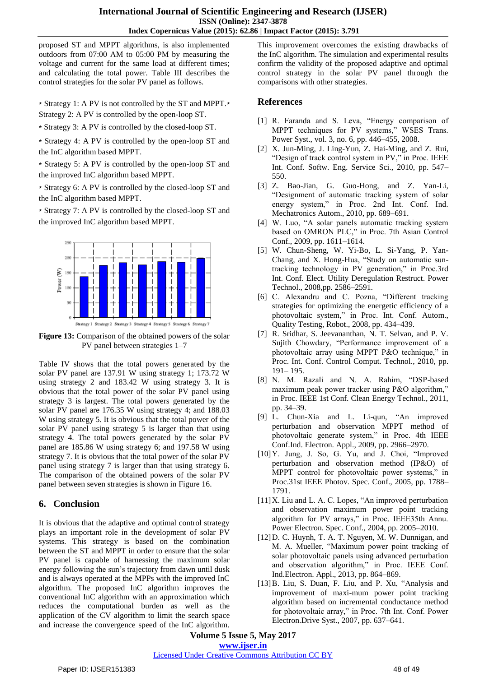proposed ST and MPPT algorithms, is also implemented outdoors from 07:00 AM to 05:00 PM by measuring the voltage and current for the same load at different times; and calculating the total power. Table III describes the control strategies for the solar PV panel as follows.

∗ Strategy 1: A PV is not controlled by the ST and MPPT.∗ Strategy 2: A PV is controlled by the open-loop ST.

∗ Strategy 3: A PV is controlled by the closed-loop ST.

∗ Strategy 4: A PV is controlled by the open-loop ST and the InC algorithm based MPPT.

∗ Strategy 5: A PV is controlled by the open-loop ST and the improved InC algorithm based MPPT.

∗ Strategy 6: A PV is controlled by the closed-loop ST and the InC algorithm based MPPT.

∗ Strategy 7: A PV is controlled by the closed-loop ST and the improved InC algorithm based MPPT.



**Figure 13:** Comparison of the obtained powers of the solar PV panel between strategies 1–7

Table IV shows that the total powers generated by the solar PV panel are 137.91 W using strategy 1; 173.72 W using strategy 2 and 183.42 W using strategy 3. It is obvious that the total power of the solar PV panel using strategy 3 is largest. The total powers generated by the solar PV panel are 176.35 W using strategy 4; and 188.03 W using strategy 5. It is obvious that the total power of the solar PV panel using strategy 5 is larger than that using strategy 4. The total powers generated by the solar PV panel are 185.86 W using strategy 6; and 197.58 W using strategy 7. It is obvious that the total power of the solar PV panel using strategy 7 is larger than that using strategy 6. The comparison of the obtained powers of the solar PV panel between seven strategies is shown in Figure 16.

## **6. Conclusion**

It is obvious that the adaptive and optimal control strategy plays an important role in the development of solar PV systems. This strategy is based on the combination between the ST and MPPT in order to ensure that the solar PV panel is capable of harnessing the maximum solar energy following the sun's trajectory from dawn until dusk and is always operated at the MPPs with the improved InC algorithm. The proposed InC algorithm improves the conventional InC algorithm with an approximation which reduces the computational burden as well as the application of the CV algorithm to limit the search space and increase the convergence speed of the InC algorithm.

This improvement overcomes the existing drawbacks of the InC algorithm. The simulation and experimental results confirm the validity of the proposed adaptive and optimal control strategy in the solar PV panel through the comparisons with other strategies.

## **References**

- [1] R. Faranda and S. Leva, "Energy comparison of MPPT techniques for PV systems," WSES Trans. Power Syst., vol. 3, no. 6, pp. 446–455, 2008.
- [2] X. Jun-Ming, J. Ling-Yun, Z. Hai-Ming, and Z. Rui, "Design of track control system in PV," in Proc. IEEE Int. Conf. Softw. Eng. Service Sci., 2010, pp. 547– 550.
- [3] Z. Bao-Jian, G. Guo-Hong, and Z. Yan-Li, "Designment of automatic tracking system of solar energy system," in Proc. 2nd Int. Conf. Ind. Mechatronics Autom., 2010, pp. 689–691.
- [4] W. Luo, "A solar panels automatic tracking system based on OMRON PLC," in Proc. 7th Asian Control Conf., 2009, pp. 1611–1614.
- [5] W. Chun-Sheng, W. Yi-Bo, L. Si-Yang, P. Yan-Chang, and X. Hong-Hua, "Study on automatic suntracking technology in PV generation," in Proc.3rd Int. Conf. Elect. Utility Deregulation Restruct. Power Technol., 2008,pp. 2586–2591.
- [6] C. Alexandru and C. Pozna, "Different tracking strategies for optimizing the energetic efficiency of a photovoltaic system," in Proc. Int. Conf. Autom., Quality Testing, Robot., 2008, pp. 434–439.
- [7] R. Sridhar, S. Jeevananthan, N. T. Selvan, and P. V. Sujith Chowdary, "Performance improvement of a photovoltaic array using MPPT P&O technique," in Proc. Int. Conf. Control Comput. Technol., 2010, pp. 191– 195.
- [8] N. M. Razali and N. A. Rahim, "DSP-based maximum peak power tracker using P&O algorithm," in Proc. IEEE 1st Conf. Clean Energy Technol., 2011, pp. 34–39.
- [9] L. Chun-Xia and L. Li-qun, "An improved perturbation and observation MPPT method of photovoltaic generate system," in Proc. 4th IEEE Conf.Ind. Electron. Appl., 2009, pp. 2966–2970.
- [10] Y. Jung, J. So, G. Yu, and J. Choi, "Improved perturbation and observation method (IP&O) of MPPT control for photovoltaic power systems," in Proc.31st IEEE Photov. Spec. Conf., 2005, pp. 1788– 1791.
- [11] X. Liu and L. A. C. Lopes, "An improved perturbation and observation maximum power point tracking algorithm for PV arrays," in Proc. IEEE35th Annu. Power Electron. Spec. Conf., 2004, pp. 2005–2010.
- [12]D. C. Huynh, T. A. T. Nguyen, M. W. Dunnigan, and M. A. Mueller, "Maximum power point tracking of solar photovoltaic panels using advanced perturbation and observation algorithm," in Proc. IEEE Conf. Ind.Electron. Appl., 2013, pp. 864–869.
- [13]B. Liu, S. Duan, F. Liu, and P. Xu, "Analysis and improvement of maxi-mum power point tracking algorithm based on incremental conductance method for photovoltaic array," in Proc. 7th Int. Conf. Power Electron.Drive Syst., 2007, pp. 637–641.

**Volume 5 Issue 5, May 2017 www.ijser.in**

### Licensed Under Creative Commons Attribution CC BY